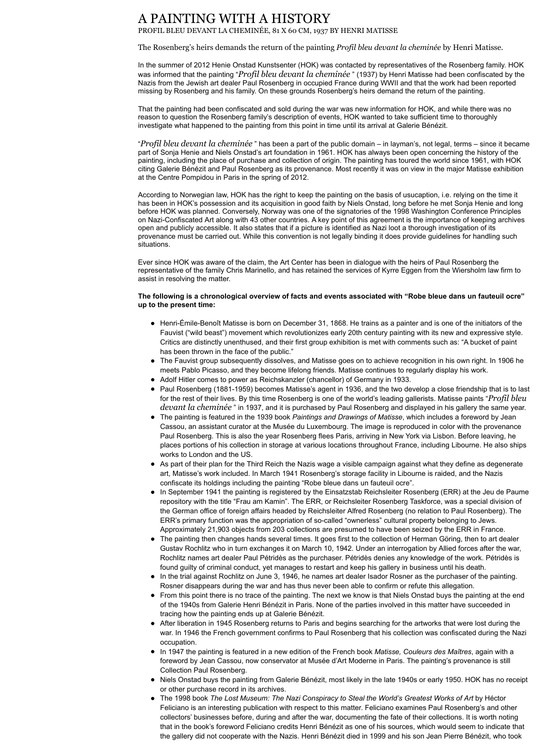## A PAINTING WITH A HISTORY

PROFIL BLEU DEVANT LA CHEMINÉE, 81 X 60 CM, 1937 BY HENRI MATISSE

The Rosenberg's heirs demands the return of the painting *Profil bleu devant la cheminée* by Henri Matisse.

In the summer of 2012 Henie Onstad Kunstsenter (HOK) was contacted by representatives of the Rosenberg family. HOK was informed that the painting "*Profil bleu devant la cheminée* " (1937) by Henri Matisse had been confiscated by the Nazis from the Jewish art dealer Paul Rosenberg in occupied France during WWII and that the work had been reported missing by Rosenberg and his family. On these grounds Rosenberg's heirs demand the return of the painting.

That the painting had been confiscated and sold during the war was new information for HOK, and while there was no reason to question the Rosenberg family's description of events, HOK wanted to take sufficient time to thoroughly investigate what happened to the painting from this point in time until its arrival at Galerie Bénézit.

"*Profil bleu devant la cheminée* " has been a part of the public domain – in layman's, not legal, terms – since it became part of Sonja Henie and Niels Onstad's art foundation in 1961. HOK has always been open concerning the history of the painting, including the place of purchase and collection of origin. The painting has toured the world since 1961, with HOK citing Galerie Bénézit and Paul Rosenberg as its provenance. Most recently it was on view in the major Matisse exhibition at the Centre Pompidou in Paris in the spring of 2012.

- Henri-Émile-Benoît Matisse is born on December 31, 1868. He trains as a painter and is one of the initiators of the Fauvist ("wild beast") movement which revolutionizes early 20th century painting with its new and expressive style. Critics are distinctly unenthused, and their first group exhibition is met with comments such as: "A bucket of paint has been thrown in the face of the public."
- The Fauvist group subsequently dissolves, and Matisse goes on to achieve recognition in his own right. In 1906 he meets Pablo Picasso, and they become lifelong friends. Matisse continues to regularly display his work.
- Adolf Hitler comes to power as Reichskanzler (chancellor) of Germany in 1933.
- Paul Rosenberg (1881-1959) becomes Matisse's agent in 1936, and the two develop a close friendship that is to last for the rest of their lives. By this time Rosenberg is one of the world's leading gallerists. Matisse paints "*Profil bleu devant la cheminée* " in 1937, and it is purchased by Paul Rosenberg and displayed in his gallery the same year.
- The painting is featured in the 1939 book *Paintings and Drawings of Matisse*, which includes a foreword by Jean Cassou, an assistant curator at the Musée du Luxembourg. The image is reproduced in color with the provenance Paul Rosenberg. This is also the year Rosenberg flees Paris, arriving in New York via Lisbon. Before leaving, he places portions of his collection in storage at various locations throughout France, including Libourne. He also ships works to London and the US.
- As part of their plan for the Third Reich the Nazis wage a visible campaign against what they define as degenerate art, Matisse's work included. In March 1941 Rosenberg's storage facility in Libourne is raided, and the Nazis confiscate its holdings including the painting "Robe bleue dans un fauteuil ocre".
- In September 1941 the painting is registered by the Einsatzstab Reichsleiter Rosenberg (ERR) at the Jeu de Paume

According to Norwegian law, HOK has the right to keep the painting on the basis of usucaption, i.e. relying on the time it has been in HOK's possession and its acquisition in good faith by Niels Onstad, long before he met Sonja Henie and long before HOK was planned. Conversely, Norway was one of the signatories of the 1998 Washington Conference Principles on Nazi-Confiscated Art along with 43 other countries. A key point of this agreement is the importance of keeping archives open and publicly accessible. It also states that if a picture is identified as Nazi loot a thorough investigation of its provenance must be carried out. While this convention is not legally binding it does provide guidelines for handling such situations.

Ever since HOK was aware of the claim, the Art Center has been in dialogue with the heirs of Paul Rosenberg the representative of the family Chris Marinello, and has retained the services of Kyrre Eggen from the Wiersholm law firm to assist in resolving the matter.

## **The following is a chronological overview of facts and events associated with "Robe bleue dans un fauteuil ocre" up to the present time:**

repository with the title "Frau am Kamin". The ERR, or Reichsleiter Rosenberg Taskforce, was a special division of the German office of foreign affairs headed by Reichsleiter Alfred Rosenberg (no relation to Paul Rosenberg). The ERR's primary function was the appropriation of so-called "ownerless" cultural property belonging to Jews. Approximately 21,903 objects from 203 collections are presumed to have been seized by the ERR in France.

- The painting then changes hands several times. It goes first to the collection of Herman Göring, then to art dealer Gustav Rochlitz who in turn exchanges it on March 10, 1942. Under an interrogation by Allied forces after the war, Rochlitz names art dealer Paul Pétridès as the purchaser. Pétridès denies any knowledge of the work. Pétridès is found guilty of criminal conduct, yet manages to restart and keep his gallery in business until his death.
- In the trial against Rochlitz on June 3, 1946, he names art dealer Isador Rosner as the purchaser of the painting. Rosner disappears during the war and has thus never been able to confirm or refute this allegation.
- From this point there is no trace of the painting. The next we know is that Niels Onstad buys the painting at the end of the 1940s from Galerie Henri Bénézit in Paris. None of the parties involved in this matter have succeeded in tracing how the painting ends up at Galerie Bénézit.
- After liberation in 1945 Rosenberg returns to Paris and begins searching for the artworks that were lost during the war. In 1946 the French government confirms to Paul Rosenberg that his collection was confiscated during the Nazi occupation.
- In 1947 the painting is featured in a new edition of the French book *Matisse, Couleurs des Maîtres*, again with a foreword by Jean Cassou, now conservator at Musée d'Art Moderne in Paris. The painting's provenance is still Collection Paul Rosenberg.
- Niels Onstad buys the painting from Galerie Bénézit, most likely in the late 1940s or early 1950. HOK has no receipt or other purchase record in its archives.
- The 1998 book *The Lost Museum: The Nazi Conspiracy to Steal the World's Greatest Works of Art* by Héctor Feliciano is an interesting publication with respect to this matter. Feliciano examines Paul Rosenberg's and other collectors' businesses before, during and after the war, documenting the fate of their collections. It is worth noting that in the book's foreword Feliciano credits Henri Bénézit as one of his sources, which would seem to indicate that the gallery did not cooperate with the Nazis. Henri Bénézit died in 1999 and his son Jean Pierre Bénézit, who took